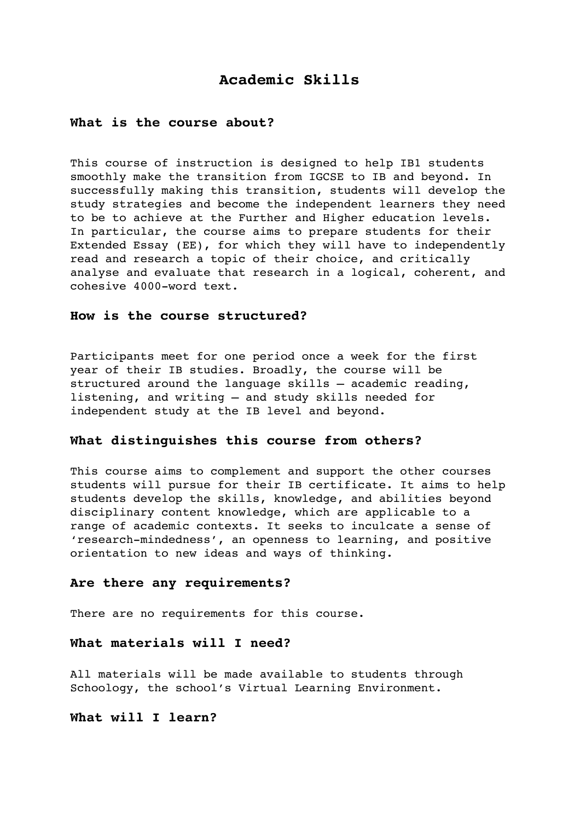# **Academic Skills**

### **What is the course about?**

This course of instruction is designed to help IB1 students smoothly make the transition from IGCSE to IB and beyond. In successfully making this transition, students will develop the study strategies and become the independent learners they need to be to achieve at the Further and Higher education levels. In particular, the course aims to prepare students for their Extended Essay (EE), for which they will have to independently read and research a topic of their choice, and critically analyse and evaluate that research in a logical, coherent, and cohesive 4000-word text.

### **How is the course structured?**

Participants meet for one period once a week for the first year of their IB studies. Broadly, the course will be structured around the language skills – academic reading, listening, and writing – and study skills needed for independent study at the IB level and beyond.

### **What distinguishes this course from others?**

This course aims to complement and support the other courses students will pursue for their IB certificate. It aims to help students develop the skills, knowledge, and abilities beyond disciplinary content knowledge, which are applicable to a range of academic contexts. It seeks to inculcate a sense of 'research-mindedness', an openness to learning, and positive orientation to new ideas and ways of thinking.

#### **Are there any requirements?**

There are no requirements for this course.

#### **What materials will I need?**

All materials will be made available to students through Schoology, the school's Virtual Learning Environment.

### **What will I learn?**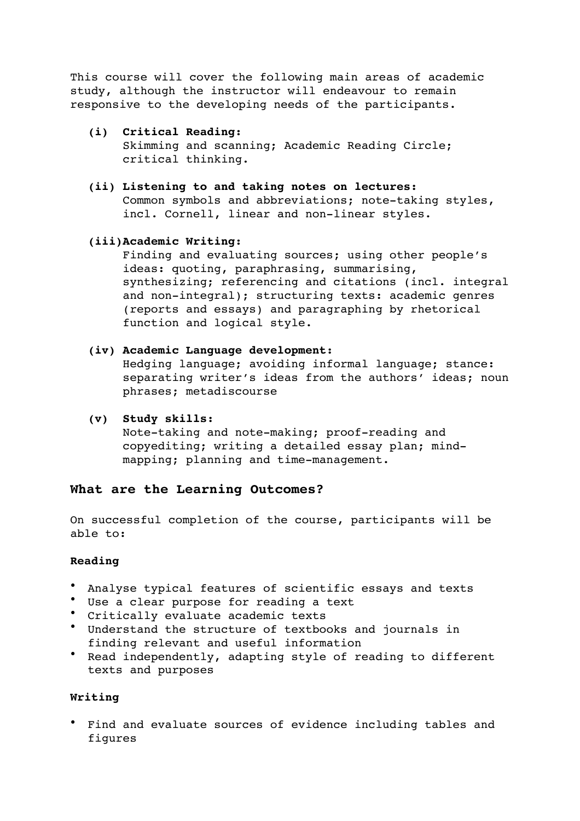This course will cover the following main areas of academic study, although the instructor will endeavour to remain responsive to the developing needs of the participants.

### **(i) Critical Reading:**

Skimming and scanning; Academic Reading Circle; critical thinking.

**(ii) Listening to and taking notes on lectures:** Common symbols and abbreviations; note-taking styles, incl. Cornell, linear and non-linear styles.

## **(iii)Academic Writing:**

Finding and evaluating sources; using other people's ideas: quoting, paraphrasing, summarising, synthesizing; referencing and citations (incl. integral and non-integral); structuring texts: academic genres (reports and essays) and paragraphing by rhetorical function and logical style.

## **(iv) Academic Language development:**

Hedging language; avoiding informal language; stance: separating writer's ideas from the authors' ideas; noun phrases; metadiscourse

**(v) Study skills:** 

Note-taking and note-making; proof-reading and copyediting; writing a detailed essay plan; mindmapping; planning and time-management.

# **What are the Learning Outcomes?**

On successful completion of the course, participants will be able to:

### **Reading**

- Analyse typical features of scientific essays and texts
- Use a clear purpose for reading a text
- Critically evaluate academic texts
- Understand the structure of textbooks and journals in finding relevant and useful information
- Read independently, adapting style of reading to different texts and purposes

# **Writing**

• Find and evaluate sources of evidence including tables and figures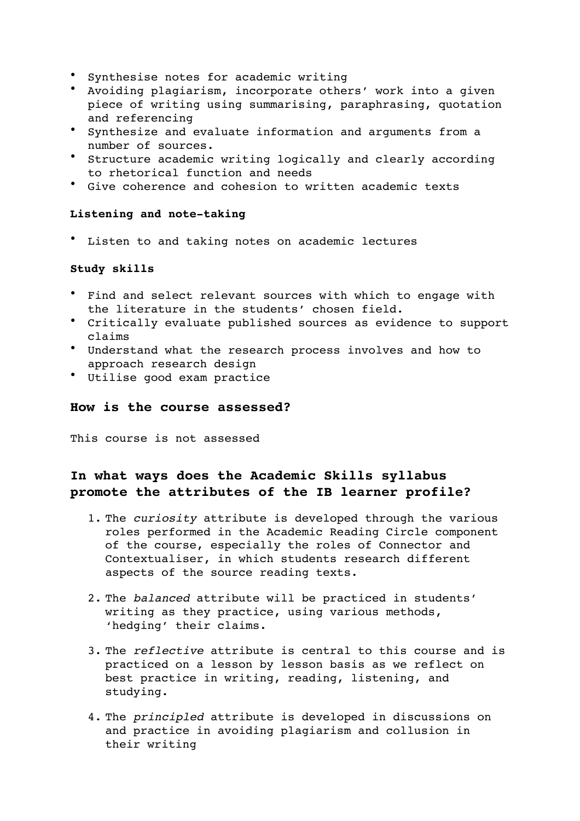- Synthesise notes for academic writing
- Avoiding plagiarism, incorporate others' work into a given piece of writing using summarising, paraphrasing, quotation and referencing
- Synthesize and evaluate information and arguments from a number of sources.
- Structure academic writing logically and clearly according to rhetorical function and needs
- Give coherence and cohesion to written academic texts

## **Listening and note-taking**

• Listen to and taking notes on academic lectures

# **Study skills**

- Find and select relevant sources with which to engage with the literature in the students' chosen field.
- Critically evaluate published sources as evidence to support claims
- Understand what the research process involves and how to approach research design
- Utilise good exam practice

## **How is the course assessed?**

This course is not assessed

# **In what ways does the Academic Skills syllabus promote the attributes of the IB learner profile?**

- 1. The *curiosity* attribute is developed through the various roles performed in the Academic Reading Circle component of the course, especially the roles of Connector and Contextualiser, in which students research different aspects of the source reading texts.
- 2. The *balanced* attribute will be practiced in students' writing as they practice, using various methods, 'hedging' their claims.
- 3. The *reflective* attribute is central to this course and is practiced on a lesson by lesson basis as we reflect on best practice in writing, reading, listening, and studying.
- 4. The *principled* attribute is developed in discussions on and practice in avoiding plagiarism and collusion in their writing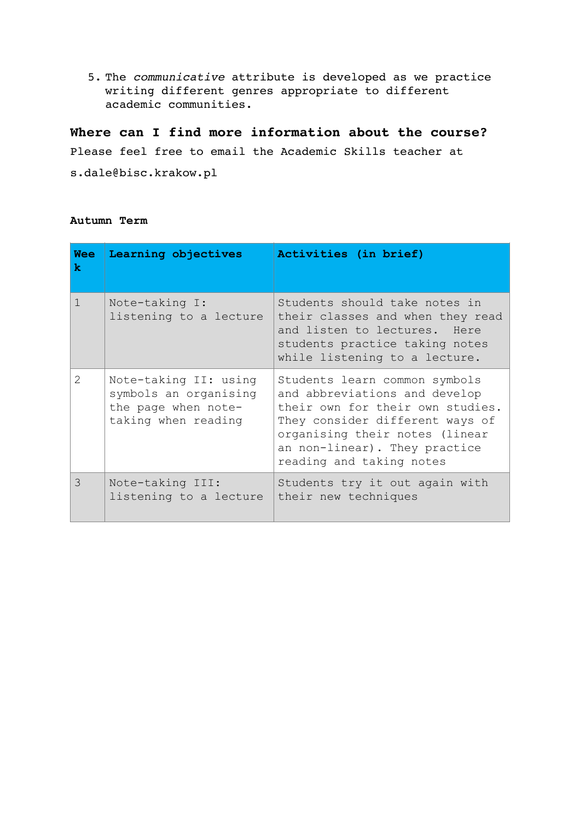5. The *communicative* attribute is developed as we practice writing different genres appropriate to different academic communities.

# **Where can I find more information about the course?**

Please feel free to email the Academic Skills teacher at

s.dale@bisc.krakow.pl

#### **Autumn Term**

| <b>Wee</b><br>k                                                                                                                                                                                                                                                                                                                                                                                                                                                                     | Learning objectives                                                                          | Activities (in brief)                                                                                                                                                                                                                |
|-------------------------------------------------------------------------------------------------------------------------------------------------------------------------------------------------------------------------------------------------------------------------------------------------------------------------------------------------------------------------------------------------------------------------------------------------------------------------------------|----------------------------------------------------------------------------------------------|--------------------------------------------------------------------------------------------------------------------------------------------------------------------------------------------------------------------------------------|
| $\mathbf{1}$                                                                                                                                                                                                                                                                                                                                                                                                                                                                        | Note-taking I:<br>listening to a lecture                                                     | Students should take notes in<br>their classes and when they read<br>and listen to lectures. Here<br>students practice taking notes<br>while listening to a lecture.                                                                 |
| $\mathcal{D}_{\mathcal{L}}^{\mathcal{L}}(\mathcal{L}) = \mathcal{D}_{\mathcal{L}}^{\mathcal{L}}(\mathcal{L}) = \mathcal{D}_{\mathcal{L}}^{\mathcal{L}}(\mathcal{L}) = \mathcal{D}_{\mathcal{L}}^{\mathcal{L}}(\mathcal{L}) = \mathcal{D}_{\mathcal{L}}^{\mathcal{L}}(\mathcal{L}) = \mathcal{D}_{\mathcal{L}}^{\mathcal{L}}(\mathcal{L}) = \mathcal{D}_{\mathcal{L}}^{\mathcal{L}}(\mathcal{L}) = \mathcal{D}_{\mathcal{L}}^{\mathcal{L}}(\mathcal{L}) = \mathcal{D}_{\mathcal{L}}$ | Note-taking II: using<br>symbols an organising<br>the page when note-<br>taking when reading | Students learn common symbols<br>and abbreviations and develop<br>their own for their own studies.<br>They consider different ways of<br>organising their notes (linear<br>an non-linear). They practice<br>reading and taking notes |
| $\mathcal{E}$                                                                                                                                                                                                                                                                                                                                                                                                                                                                       | Note-taking III:<br>listening to a lecture                                                   | Students try it out again with<br>their new techniques                                                                                                                                                                               |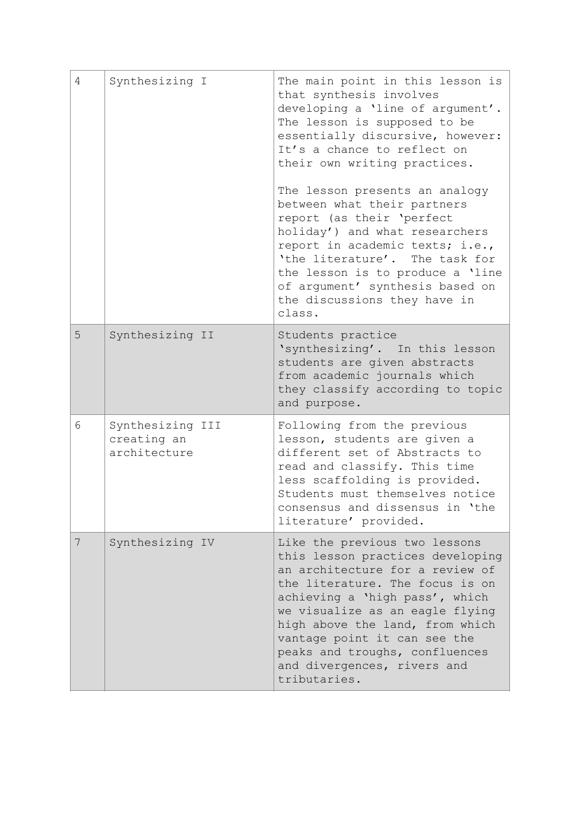| 4 | Synthesizing I                                  | The main point in this lesson is<br>that synthesis involves<br>developing a 'line of argument'.<br>The lesson is supposed to be<br>essentially discursive, however:<br>It's a chance to reflect on<br>their own writing practices.                                                                                                                               |
|---|-------------------------------------------------|------------------------------------------------------------------------------------------------------------------------------------------------------------------------------------------------------------------------------------------------------------------------------------------------------------------------------------------------------------------|
|   |                                                 | The lesson presents an analogy<br>between what their partners<br>report (as their 'perfect<br>holiday') and what researchers<br>report in academic texts; i.e.,<br>'the literature'. The task for<br>the lesson is to produce a 'line<br>of argument' synthesis based on<br>the discussions they have in<br>class.                                               |
| 5 | Synthesizing II                                 | Students practice<br>'synthesizing'. In this lesson<br>students are given abstracts<br>from academic journals which<br>they classify according to topic<br>and purpose.                                                                                                                                                                                          |
| 6 | Synthesizing III<br>creating an<br>architecture | Following from the previous<br>lesson, students are given a<br>different set of Abstracts to<br>read and classify. This time<br>less scaffolding is provided.<br>Students must themselves notice<br>consensus and dissensus in 'the<br>literature' provided.                                                                                                     |
| 7 | Synthesizing IV                                 | Like the previous two lessons<br>this lesson practices developing<br>an architecture for a review of<br>the literature. The focus is on<br>achieving a 'high pass', which<br>we visualize as an eagle flying<br>high above the land, from which<br>vantage point it can see the<br>peaks and troughs, confluences<br>and divergences, rivers and<br>tributaries. |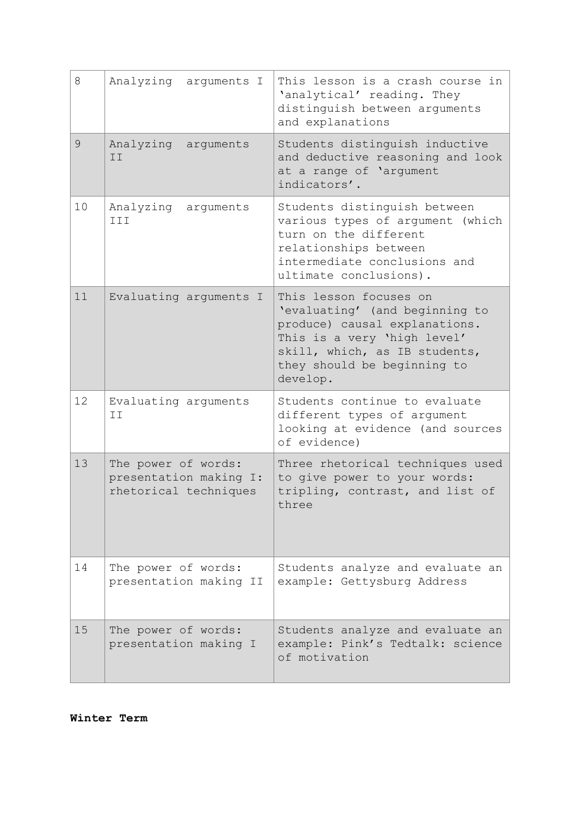| 8  | Analyzing arguments I                                                  | This lesson is a crash course in<br>'analytical' reading. They<br>distinguish between arguments<br>and explanations                                                                                  |
|----|------------------------------------------------------------------------|------------------------------------------------------------------------------------------------------------------------------------------------------------------------------------------------------|
| 9  | Analyzing arguments<br>II                                              | Students distinguish inductive<br>and deductive reasoning and look<br>at a range of 'argument<br>indicators'.                                                                                        |
| 10 | Analyzing<br>arguments<br>III                                          | Students distinguish between<br>various types of argument (which<br>turn on the different<br>relationships between<br>intermediate conclusions and<br>ultimate conclusions).                         |
| 11 | Evaluating arguments I                                                 | This lesson focuses on<br>'evaluating' (and beginning to<br>produce) causal explanations.<br>This is a very 'high level'<br>skill, which, as IB students,<br>they should be beginning to<br>develop. |
| 12 | Evaluating arguments<br>II                                             | Students continue to evaluate<br>different types of argument<br>looking at evidence (and sources<br>of evidence)                                                                                     |
| 13 | The power of words:<br>presentation making I:<br>rhetorical techniques | Three rhetorical techniques used<br>to give power to your words:<br>tripling, contrast, and list of<br>three                                                                                         |
| 14 | The power of words:<br>presentation making II                          | Students analyze and evaluate an<br>example: Gettysburg Address                                                                                                                                      |
| 15 | The power of words:<br>presentation making I                           | Students analyze and evaluate an<br>example: Pink's Tedtalk: science<br>of motivation                                                                                                                |

**Winter Term**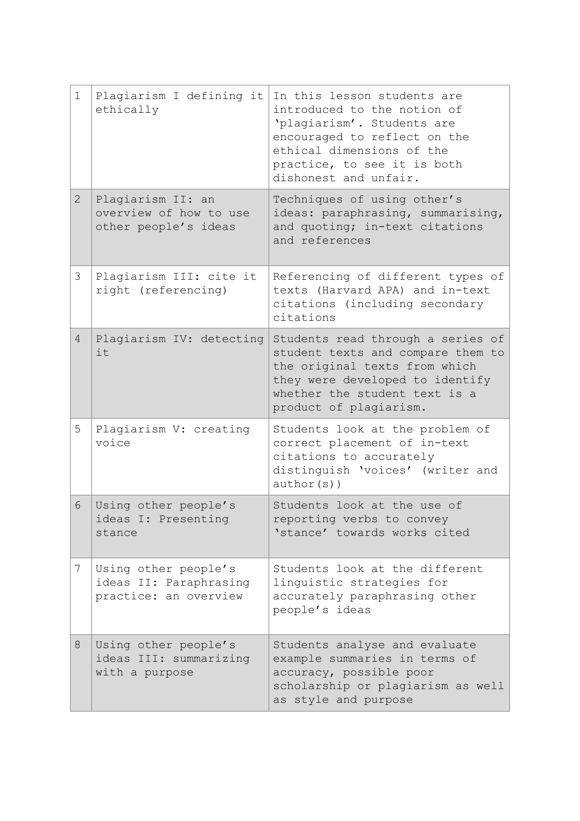| $\mathbf 1$    | Plagiarism I defining it<br>ethically                                   | In this lesson students are<br>introduced to the notion of<br>'plagiarism'. Students are<br>encouraged to reflect on the<br>ethical dimensions of the<br>practice, to see it is both<br>dishonest and unfair. |
|----------------|-------------------------------------------------------------------------|---------------------------------------------------------------------------------------------------------------------------------------------------------------------------------------------------------------|
| $\overline{2}$ | Plagiarism II: an<br>overview of how to use<br>other people's ideas     | Techniques of using other's<br>ideas: paraphrasing, summarising,<br>and quoting; in-text citations<br>and references                                                                                          |
| 3              | Plagiarism III: cite it<br>right (referencing)                          | Referencing of different types of<br>texts (Harvard APA) and in-text<br>citations (including secondary<br>citations                                                                                           |
| $\overline{4}$ | Plagiarism IV: detecting<br>it                                          | Students read through a series of<br>student texts and compare them to<br>the original texts from which<br>they were developed to identify<br>whether the student text is a<br>product of plagiarism.         |
| 5              | Plagiarism V: creating<br>voice                                         | Students look at the problem of<br>correct placement of in-text<br>citations to accurately<br>distinguish 'voices' (writer and<br>$author(s)$ )                                                               |
| 6              | Using other people's<br>ideas I: Presenting<br>stance                   | Students look at the use of<br>reporting verbs to convey<br>'stance' towards works cited                                                                                                                      |
| 7              | Using other people's<br>ideas II: Paraphrasing<br>practice: an overview | Students look at the different<br>linguistic strategies for<br>accurately paraphrasing other<br>people's ideas                                                                                                |
| 8              | Using other people's<br>ideas III: summarizing<br>with a purpose        | Students analyse and evaluate<br>example summaries in terms of<br>accuracy, possible poor<br>scholarship or plagiarism as well<br>as style and purpose                                                        |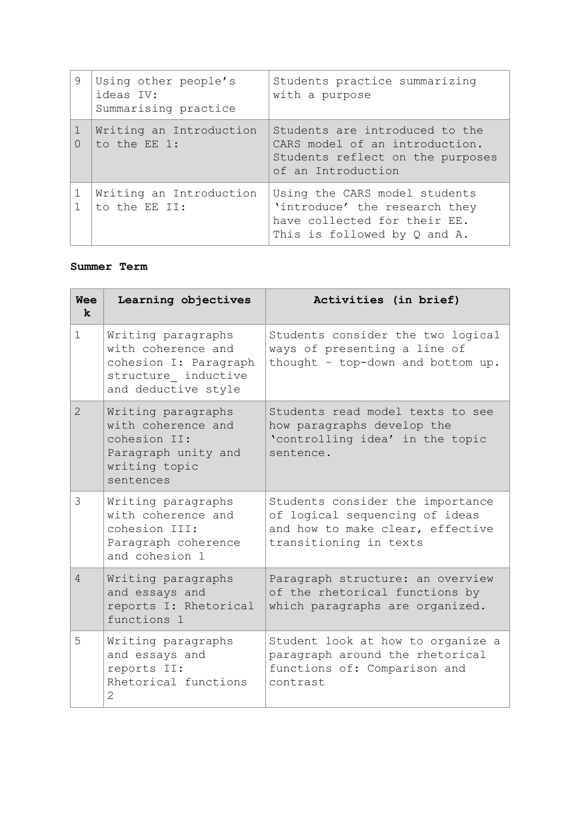| 9      | Using other people's<br>ideas IV:<br>Summarising practice | Students practice summarizing<br>with a purpose                                                                                     |
|--------|-----------------------------------------------------------|-------------------------------------------------------------------------------------------------------------------------------------|
| $\cap$ | Writing an Introduction<br>to the EE 1:                   | Students are introduced to the<br>CARS model of an introduction.<br>Students reflect on the purposes<br>of an Introduction          |
|        | Writing an Introduction<br>to the EE II:                  | Using the CARS model students<br>'introduce' the research they<br>have collected for their EE.<br>This is followed by $Q$ and $A$ . |

# **Summer Term**

| <b>Wee</b><br>$\mathbf k$ | Learning objectives                                                                                             | Activities (in brief)                                                                                                            |
|---------------------------|-----------------------------------------------------------------------------------------------------------------|----------------------------------------------------------------------------------------------------------------------------------|
| $\mathbf 1$               | Writing paragraphs<br>with coherence and<br>cohesion I: Paragraph<br>structure inductive<br>and deductive style | Students consider the two logical<br>ways of presenting a line of<br>thought - top-down and bottom up.                           |
| $\overline{2}$            | Writing paragraphs<br>with coherence and<br>cohesion II:<br>Paragraph unity and<br>writing topic<br>sentences   | Students read model texts to see<br>how paragraphs develop the<br>'controlling idea' in the topic<br>sentence.                   |
| 3                         | Writing paragraphs<br>with coherence and<br>cohesion III:<br>Paragraph coherence<br>and cohesion 1              | Students consider the importance<br>of logical sequencing of ideas<br>and how to make clear, effective<br>transitioning in texts |
| $\overline{4}$            | Writing paragraphs<br>and essays and<br>reports I: Rhetorical<br>functions 1                                    | Paragraph structure: an overview<br>of the rhetorical functions by<br>which paragraphs are organized.                            |
| 5                         | Writing paragraphs<br>and essays and<br>reports II:<br>Rhetorical functions<br>2                                | Student look at how to organize a<br>paragraph around the rhetorical<br>functions of: Comparison and<br>contrast                 |